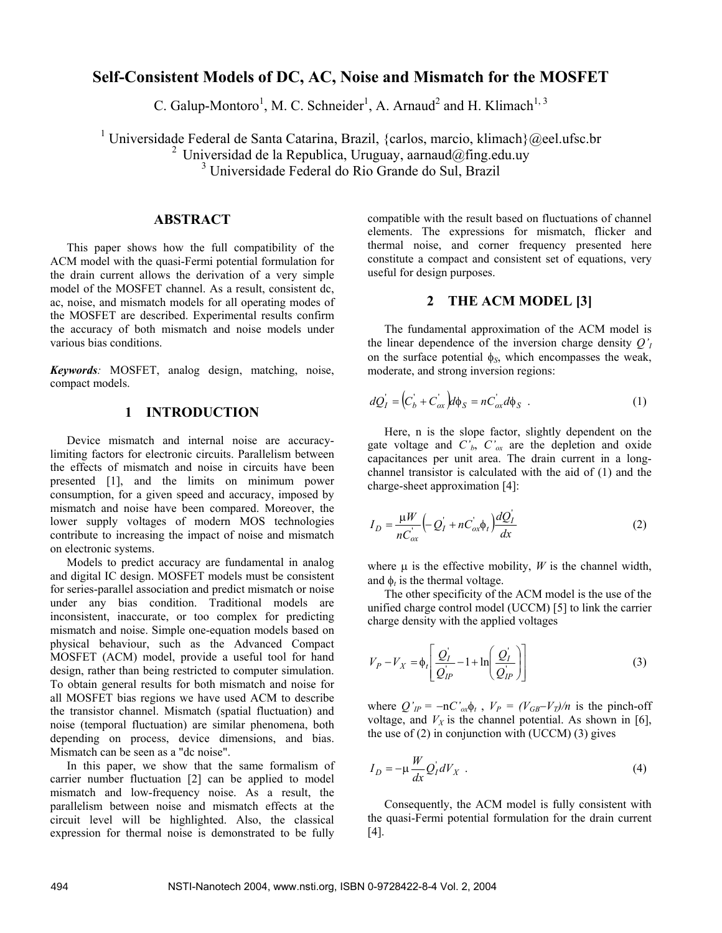# **Self-Consistent Models of DC, AC, Noise and Mismatch for the MOSFET**

C. Galup-Montoro<sup>1</sup>, M. C. Schneider<sup>1</sup>, A. Arnaud<sup>2</sup> and H. Klimach<sup>1, 3</sup>

<sup>1</sup> Universidade Federal de Santa Catarina, Brazil, {carlos, marcio, klimach}@eel.ufsc.br <sup>2</sup> Universidad de la Republica, Uruguay, aarnaud@fing.edu.uy 3 Universidade Federal do Rio Grande do Sul, Brazil

### **ABSTRACT**

This paper shows how the full compatibility of the ACM model with the quasi-Fermi potential formulation for the drain current allows the derivation of a very simple model of the MOSFET channel. As a result, consistent dc, ac, noise, and mismatch models for all operating modes of the MOSFET are described. Experimental results confirm the accuracy of both mismatch and noise models under various bias conditions.

*Keywords:* MOSFET, analog design, matching, noise, compact models.

### **1 INTRODUCTION**

Device mismatch and internal noise are accuracylimiting factors for electronic circuits. Parallelism between the effects of mismatch and noise in circuits have been presented [1], and the limits on minimum power consumption, for a given speed and accuracy, imposed by mismatch and noise have been compared. Moreover, the lower supply voltages of modern MOS technologies contribute to increasing the impact of noise and mismatch on electronic systems.

Models to predict accuracy are fundamental in analog and digital IC design. MOSFET models must be consistent for series-parallel association and predict mismatch or noise under any bias condition. Traditional models are inconsistent, inaccurate, or too complex for predicting mismatch and noise. Simple one-equation models based on physical behaviour, such as the Advanced Compact MOSFET (ACM) model, provide a useful tool for hand design, rather than being restricted to computer simulation. To obtain general results for both mismatch and noise for all MOSFET bias regions we have used ACM to describe the transistor channel. Mismatch (spatial fluctuation) and noise (temporal fluctuation) are similar phenomena, both depending on process, device dimensions, and bias. Mismatch can be seen as a "dc noise".

In this paper, we show that the same formalism of carrier number fluctuation [2] can be applied to model mismatch and low-frequency noise. As a result, the parallelism between noise and mismatch effects at the circuit level will be highlighted. Also, the classical expression for thermal noise is demonstrated to be fully

compatible with the result based on fluctuations of channel elements. The expressions for mismatch, flicker and thermal noise, and corner frequency presented here constitute a compact and consistent set of equations, very useful for design purposes.

### **2 THE ACM MODEL [3]**

The fundamental approximation of the ACM model is the linear dependence of the inversion charge density  $Q'_I$ on the surface potential  $\phi$ <sub>S</sub>, which encompasses the weak, moderate, and strong inversion regions:

$$
dQ'_I = (C'_b + C'_{ox})d\phi_S = nC'_{ox}d\phi_S . \qquad (1)
$$

Here, n is the slope factor, slightly dependent on the gate voltage and  $C<sub>b</sub>$ ,  $C<sub>ox</sub>$  are the depletion and oxide capacitances per unit area. The drain current in a longchannel transistor is calculated with the aid of (1) and the charge-sheet approximation [4]:

$$
I_D = \frac{\mu W}{nC_{ox}'} \left( -Q_I' + nC_{ox}'\phi_t \right) \frac{dQ_I'}{dx}
$$
 (2)

where  $\mu$  is the effective mobility, *W* is the channel width, and  $\phi_t$  is the thermal voltage.

The other specificity of the ACM model is the use of the unified charge control model (UCCM) [5] to link the carrier charge density with the applied voltages

$$
V_P - V_X = \phi_t \left[ \frac{Q_I}{Q_{IP}} - 1 + \ln \left( \frac{Q_I}{Q_{IP}} \right) \right]
$$
 (3)

where  $Q'_{IP} = -nC'_{ox}\phi_t$ ,  $V_P = (V_{GB} - V_T)/n$  is the pinch-off voltage, and  $V_X$  is the channel potential. As shown in [6], the use of  $(2)$  in conjunction with (UCCM)  $(3)$  gives

$$
I_D = -\mu \frac{W}{dx} Q_I dV_X \tag{4}
$$

Consequently, the ACM model is fully consistent with the quasi-Fermi potential formulation for the drain current [4].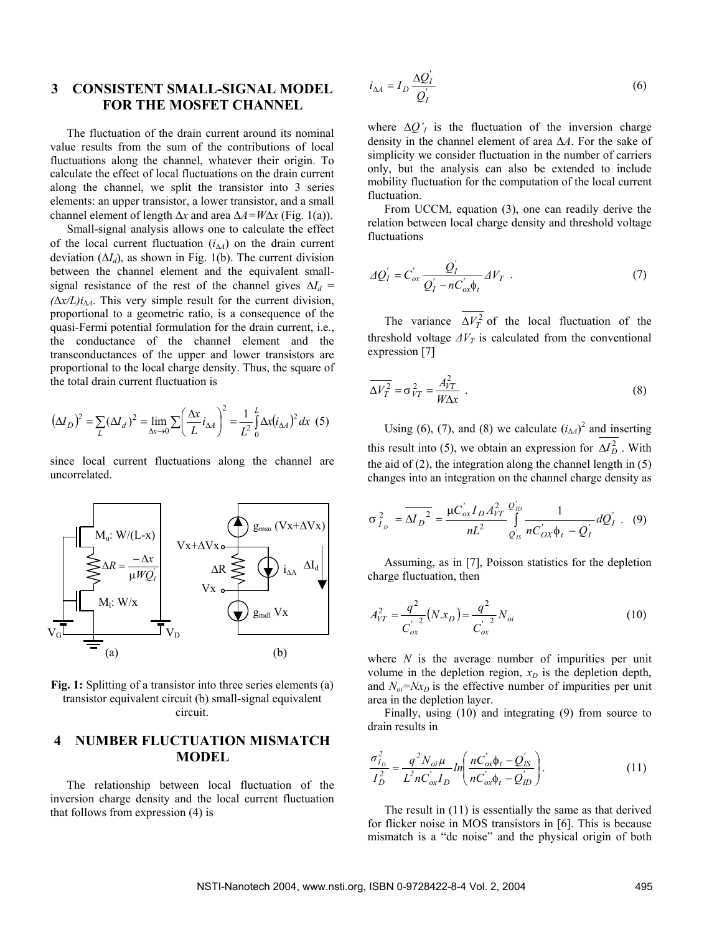### **3 CONSISTENT SMALL-SIGNAL MODEL FOR THE MOSFET CHANNEL**

The fluctuation of the drain current around its nominal value results from the sum of the contributions of local fluctuations along the channel, whatever their origin. To calculate the effect of local fluctuations on the drain current along the channel, we split the transistor into 3 series elements: an upper transistor, a lower transistor, and a small channel element of length ∆*x* and area ∆*A=W*∆*x* (Fig. 1(a)).

Small-signal analysis allows one to calculate the effect of the local current fluctuation (*i*<sup>∆</sup>*A*) on the drain current deviation (∆*Id*), as shown in Fig. 1(b). The current division between the channel element and the equivalent smallsignal resistance of the rest of the channel gives  $\Delta I_d$  =  $(\Delta x/L)i_{A}$ . This very simple result for the current division, proportional to a geometric ratio, is a consequence of the quasi-Fermi potential formulation for the drain current, i.e., the conductance of the channel element and the transconductances of the upper and lower transistors are proportional to the local charge density. Thus, the square of the total drain current fluctuation is

$$
(\Delta I_D)^2 = \sum_L (\Delta I_d)^2 = \lim_{\Delta x \to 0} \sum \left(\frac{\Delta x}{L} i_{\Delta A}\right)^2 = \frac{1}{L^2} \int_0^L \Delta x (i_{\Delta A})^2 dx
$$
 (5)

since local current fluctuations along the channel are uncorrelated.



**Fig. 1:** Splitting of a transistor into three series elements (a) transistor equivalent circuit (b) small-signal equivalent circuit.

## **4 NUMBER FLUCTUATION MISMATCH MODEL**

The relationship between local fluctuation of the inversion charge density and the local current fluctuation that follows from expression (4) is

$$
i_{\Delta A} = I_D \frac{\Delta Q_I}{Q_I} \tag{6}
$$

where  $\Delta Q'_I$  is the fluctuation of the inversion charge density in the channel element of area ∆*A*. For the sake of simplicity we consider fluctuation in the number of carriers only, but the analysis can also be extended to include mobility fluctuation for the computation of the local current fluctuation.

From UCCM, equation (3), one can readily derive the relation between local charge density and threshold voltage fluctuations

$$
\Delta Q'_I = C'_{ox} \frac{Q'_I}{Q'_I - nC'_{ox}\phi_t} \Delta V_T \quad . \tag{7}
$$

The variance  $\overline{\Delta V_T^2}$  of the local fluctuation of the threshold voltage  $\Delta V_T$  is calculated from the conventional expression [7]

$$
\overline{\Delta V_T^2} = \sigma_{VT}^2 = \frac{A_{VT}^2}{W\Delta x} \tag{8}
$$

Using (6), (7), and (8) we calculate  $(i_{\text{A}})^2$  and inserting this result into (5), we obtain an expression for  $\Delta I_D^2$ . With the aid of (2), the integration along the channel length in (5) changes into an integration on the channel charge density as

$$
\sigma_{I_D}^2 = \overline{\Delta I_D}^2 = \frac{\mu C_{ox} I_D A_{VT}^2}{nL^2} \int_{Q_{IS}}^{Q_{ID}} \frac{1}{n C_{OX} \phi_t - Q_I} dQ_I' \quad (9)
$$

Assuming, as in [7], Poisson statistics for the depletion charge fluctuation, then

$$
A_{VT}^2 = \frac{q^2}{C_{ox}^{'2}} (N.x_D) = \frac{q^2}{C_{ox}^{'2}} N_{oi}
$$
 (10)

where *N* is the average number of impurities per unit volume in the depletion region,  $x_D$  is the depletion depth, and  $N_{oi} = Nx_D$  is the effective number of impurities per unit area in the depletion layer.

Finally, using (10) and integrating (9) from source to drain results in

$$
\frac{\sigma_{I_D}^2}{I_D^2} = \frac{q^2 N_{oi} \mu}{L^2 n C_{ox}^{'} I_D} ln \left( \frac{n C_{ox}^{'} \phi_t - Q_{IS}^{'}}{n C_{ox}^{'} \phi_t - Q_{ID}^{'}} \right).
$$
(11)

The result in (11) is essentially the same as that derived for flicker noise in MOS transistors in [6]. This is because mismatch is a "dc noise" and the physical origin of both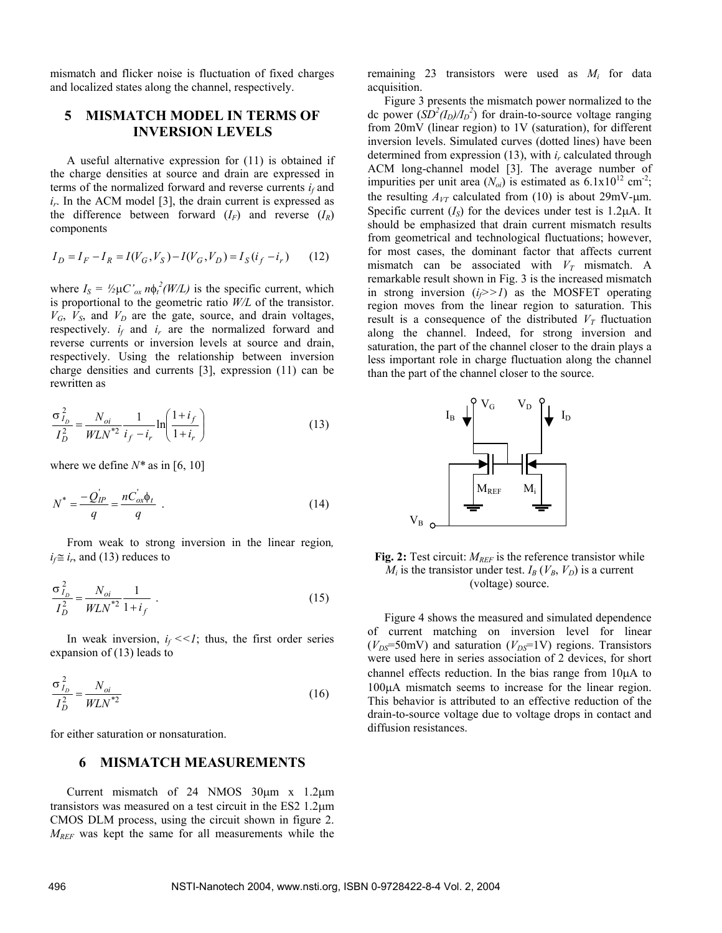mismatch and flicker noise is fluctuation of fixed charges and localized states along the channel, respectively.

# **5 MISMATCH MODEL IN TERMS OF INVERSION LEVELS**

A useful alternative expression for (11) is obtained if the charge densities at source and drain are expressed in terms of the normalized forward and reverse currents  $i_f$  and  $i_r$ . In the ACM model [3], the drain current is expressed as the difference between forward  $(I_F)$  and reverse  $(I_R)$ components

$$
I_D = I_F - I_R = I(V_G, V_S) - I(V_G, V_D) = I_S(i_f - i_r)
$$
 (12)

where  $I_S = \frac{1}{2} \mu C^{\prime}{}_{ox} n \phi_t^2 (W/L)$  is the specific current, which is proportional to the geometric ratio *W/L* of the transistor.  $V_G$ ,  $V_S$ , and  $V_D$  are the gate, source, and drain voltages, respectively.  $i_f$  and  $i_r$  are the normalized forward and reverse currents or inversion levels at source and drain, respectively. Using the relationship between inversion charge densities and currents [3], expression (11) can be rewritten as

$$
\frac{\sigma_{I_D}^2}{I_D^2} = \frac{N_{oi}}{W L N^{*2}} \frac{1}{i_f - i_r} \ln \left( \frac{1 + i_f}{1 + i_r} \right)
$$
(13)

where we define  $N^*$  as in [6, 10]

$$
N^* = \frac{-Q_{IP}'}{q} = \frac{nC_{ox}'\phi_t}{q} \tag{14}
$$

From weak to strong inversion in the linear region,  $i_f \approx i_r$ , and (13) reduces to

$$
\frac{\sigma_{I_D}^2}{I_D^2} = \frac{N_{oi}}{W L N^{*2}} \frac{1}{1 + i_f} \tag{15}
$$

In weak inversion,  $i_f \ll 1$ ; thus, the first order series expansion of (13) leads to

$$
\frac{\sigma_{I_D}^2}{I_D^2} = \frac{N_{oi}}{W L N^{*2}}
$$
 (16)

for either saturation or nonsaturation.

#### **6 MISMATCH MEASUREMENTS**

Current mismatch of 24 NMOS 30µm x 1.2µm transistors was measured on a test circuit in the ES2 1.2µm CMOS DLM process, using the circuit shown in figure 2. *MREF* was kept the same for all measurements while the

remaining 23 transistors were used as *Mi* for data acquisition.

Figure 3 presents the mismatch power normalized to the dc power  $(SD^2(I_D)/I_D^2)$  for drain-to-source voltage ranging from 20mV (linear region) to 1V (saturation), for different inversion levels. Simulated curves (dotted lines) have been determined from expression  $(13)$ , with  $i_r$  calculated through ACM long-channel model [3]. The average number of impurities per unit area  $(N_{oi})$  is estimated as  $6.1 \times 10^{12}$  cm<sup>-2</sup>; the resulting  $A_{VT}$  calculated from (10) is about 29mV-µm. Specific current  $(I<sub>S</sub>)$  for the devices under test is 1.2 $\mu$ A. It should be emphasized that drain current mismatch results from geometrical and technological fluctuations; however, for most cases, the dominant factor that affects current mismatch can be associated with  $V_T$  mismatch. A remarkable result shown in Fig. 3 is the increased mismatch in strong inversion  $(i \geq 1)$  as the MOSFET operating region moves from the linear region to saturation. This result is a consequence of the distributed  $V_T$  fluctuation along the channel. Indeed, for strong inversion and saturation, the part of the channel closer to the drain plays a less important role in charge fluctuation along the channel than the part of the channel closer to the source.



**Fig. 2:** Test circuit: *MREF* is the reference transistor while  $M_i$  is the transistor under test.  $I_B(V_B, V_D)$  is a current (voltage) source.

Figure 4 shows the measured and simulated dependence of current matching on inversion level for linear  $(V_{DS}=50$ mV) and saturation  $(V_{DS}=1$ V) regions. Transistors were used here in series association of 2 devices, for short channel effects reduction. In the bias range from 10µA to 100µA mismatch seems to increase for the linear region. This behavior is attributed to an effective reduction of the drain-to-source voltage due to voltage drops in contact and diffusion resistances.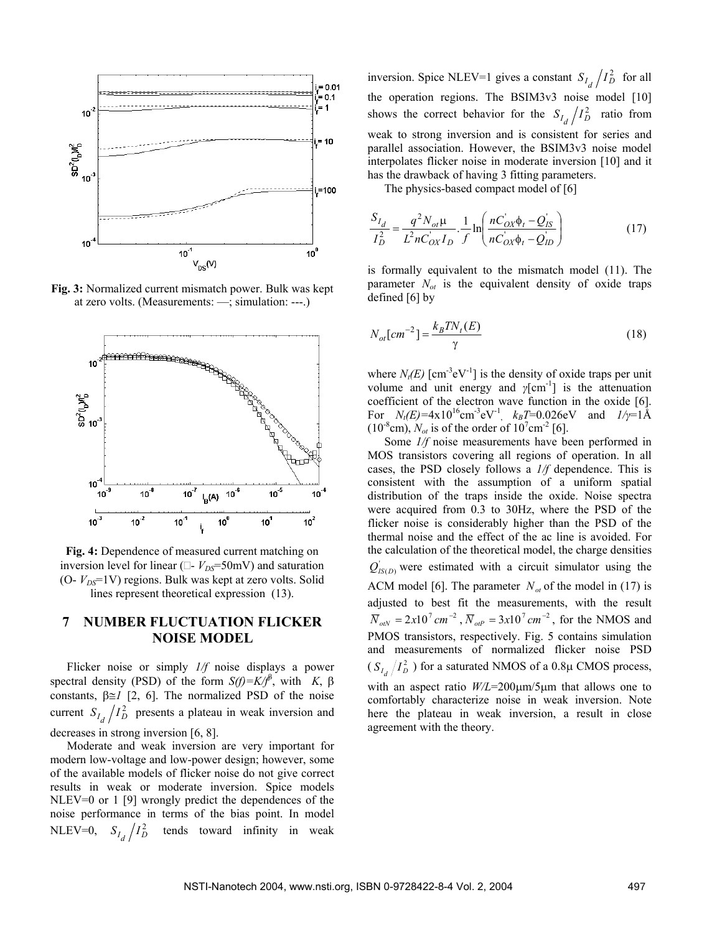

**Fig. 3:** Normalized current mismatch power. Bulk was kept at zero volts. (Measurements: —; simulation: ---.)



**Fig. 4:** Dependence of measured current matching on inversion level for linear ( $\Box$ -  $V_{DS}$ =50mV) and saturation (O- *V<sub>DS</sub>*=1V) regions. Bulk was kept at zero volts. Solid lines represent theoretical expression (13).

# **7 NUMBER FLUCTUATION FLICKER NOISE MODEL**

Flicker noise or simply *1/f* noise displays a power spectral density (PSD) of the form  $S(f)=K/f^{\beta}$ , with *K*,  $\beta$ constants, β≅*1* [2, 6]. The normalized PSD of the noise current  $S_{I_d}/I_D^2$  presents a plateau in weak inversion and decreases in strong inversion [6, 8].

Moderate and weak inversion are very important for modern low-voltage and low-power design; however, some of the available models of flicker noise do not give correct results in weak or moderate inversion. Spice models NLEV=0 or 1 [9] wrongly predict the dependences of the noise performance in terms of the bias point. In model NLEV=0,  $S_{I_d}/I_D^2$  tends toward infinity in weak

inversion. Spice NLEV=1 gives a constant  $S_{I_d}/I_D^2$  for all the operation regions. The BSIM3v3 noise model [10] shows the correct behavior for the  $S_{I_d}/I_D^2$  ratio from weak to strong inversion and is consistent for series and parallel association. However, the BSIM3v3 noise model interpolates flicker noise in moderate inversion [10] and it has the drawback of having 3 fitting parameters.

The physics-based compact model of [6]

$$
\frac{S_{I_d}}{I_D^2} = \frac{q^2 N_{ot} \mu}{L^2 n C_{OX} I_D} \cdot \frac{1}{f} \ln \left( \frac{n C_{OX} \phi_t - Q_{IS}'}{n C_{OX} \phi_t - Q_{ID}'} \right)
$$
(17)

is formally equivalent to the mismatch model (11). The parameter  $N_{ot}$  is the equivalent density of oxide traps defined [6] by

$$
N_{ot}[cm^{-2}] = \frac{k_B T N_t(E)}{\gamma}
$$
\n(18)

where  $N_t(E)$  [cm<sup>-3</sup>eV<sup>-1</sup>] is the density of oxide traps per unit volume and unit energy and *γ*[cm-1] is the attenuation coefficient of the electron wave function in the oxide [6]. For  $N_t(E) = 4 \times 10^{16} \text{cm}^{-3} \text{eV}^{-1}$ ,  $k_B T = 0.026 \text{eV}$  and  $1/\gamma = 1 \text{Å}$  $(10^{-8} \text{cm})$ ,  $N_{ot}$  is of the order of  $10^{7} \text{cm}^{-2}$  [6].

Some  $1/f$  noise measurements have been performed in MOS transistors covering all regions of operation. In all cases, the PSD closely follows a *1/f* dependence. This is consistent with the assumption of a uniform spatial distribution of the traps inside the oxide. Noise spectra were acquired from 0.3 to 30Hz, where the PSD of the flicker noise is considerably higher than the PSD of the thermal noise and the effect of the ac line is avoided. For the calculation of the theoretical model, the charge densities  $Q'_{IS(D)}$  were estimated with a circuit simulator using the ACM model [6]. The parameter  $N_{at}$  of the model in (17) is adjusted to best fit the measurements, with the result  $\overline{N}_{olN} = 2x10^7 cm^{-2}$ ,  $\overline{N}_{olP} = 3x10^7 cm^{-2}$ , for the NMOS and PMOS transistors, respectively. Fig. 5 contains simulation and measurements of normalized flicker noise PSD  $(S_{I_d}/I_D^2)$  for a saturated NMOS of a 0.8µ CMOS process, with an aspect ratio *W/L*=200µm/5µm that allows one to comfortably characterize noise in weak inversion. Note here the plateau in weak inversion, a result in close agreement with the theory.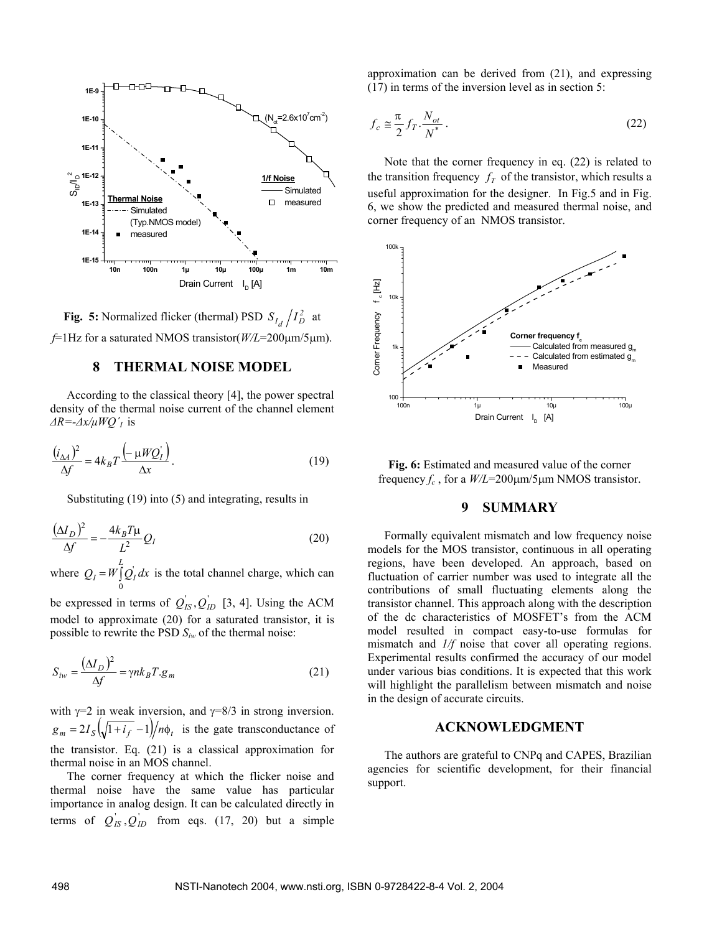

**Fig. 5:** Normalized flicker (thermal) PSD  $S_{I_d}/I_D^2$  at *f*=1Hz for a saturated NMOS transistor(*W/L*=200µm/5µm).

#### **8 THERMAL NOISE MODEL**

According to the classical theory [4], the power spectral density of the thermal noise current of the channel element *∆R=-∆x/µWQ´I* is

$$
\frac{(i_{\Delta A})^2}{\Delta f} = 4k_B T \frac{\left(-\mu W Q_I\right)}{\Delta x}.
$$
\n(19)

Substituting (19) into (5) and integrating, results in

$$
\frac{(\Delta I_D)^2}{\Delta f} = -\frac{4k_B T \mu}{L^2} Q_I
$$
\n(20)

where  $Q_I = W \int_0^L Q_I dx$  $\int_{I} dx$  is the total channel charge, which can

be expressed in terms of  $Q_{IS}, Q_{ID}$  [3, 4]. Using the ACM model to approximate (20) for a saturated transistor, it is possible to rewrite the PSD *Siw* of the thermal noise:

$$
S_{iw} = \frac{(\Delta I_D)^2}{\Delta f} = \gamma n k_B T . g_m \tag{21}
$$

with  $\gamma=2$  in weak inversion, and  $\gamma=8/3$  in strong inversion.  $g_m = 2I_s \left( \sqrt{1+i_f} - 1 \right) / n\phi_t$  is the gate transconductance of the transistor. Eq. (21) is a classical approximation for thermal noise in an MOS channel.

The corner frequency at which the flicker noise and thermal noise have the same value has particular importance in analog design. It can be calculated directly in terms of  $Q_{IS}$ ,  $Q_{ID}$  from eqs. (17, 20) but a simple

approximation can be derived from (21), and expressing (17) in terms of the inversion level as in section 5:

$$
f_c \cong \frac{\pi}{2} f_T \cdot \frac{N_{ot}}{N^*} \,. \tag{22}
$$

Note that the corner frequency in eq. (22) is related to the transition frequency  $f<sub>T</sub>$  of the transistor, which results a useful approximation for the designer. In Fig.5 and in Fig. 6, we show the predicted and measured thermal noise, and corner frequency of an NMOS transistor.



**Fig. 6:** Estimated and measured value of the corner frequency *fc* , for a *W/L*=200µm/5µm NMOS transistor.

### **9 SUMMARY**

Formally equivalent mismatch and low frequency noise models for the MOS transistor, continuous in all operating regions, have been developed. An approach, based on fluctuation of carrier number was used to integrate all the contributions of small fluctuating elements along the transistor channel. This approach along with the description of the dc characteristics of MOSFET's from the ACM model resulted in compact easy-to-use formulas for mismatch and *1/f* noise that cover all operating regions. Experimental results confirmed the accuracy of our model under various bias conditions. It is expected that this work will highlight the parallelism between mismatch and noise in the design of accurate circuits.

#### **ACKNOWLEDGMENT**

The authors are grateful to CNPq and CAPES, Brazilian agencies for scientific development, for their financial support.